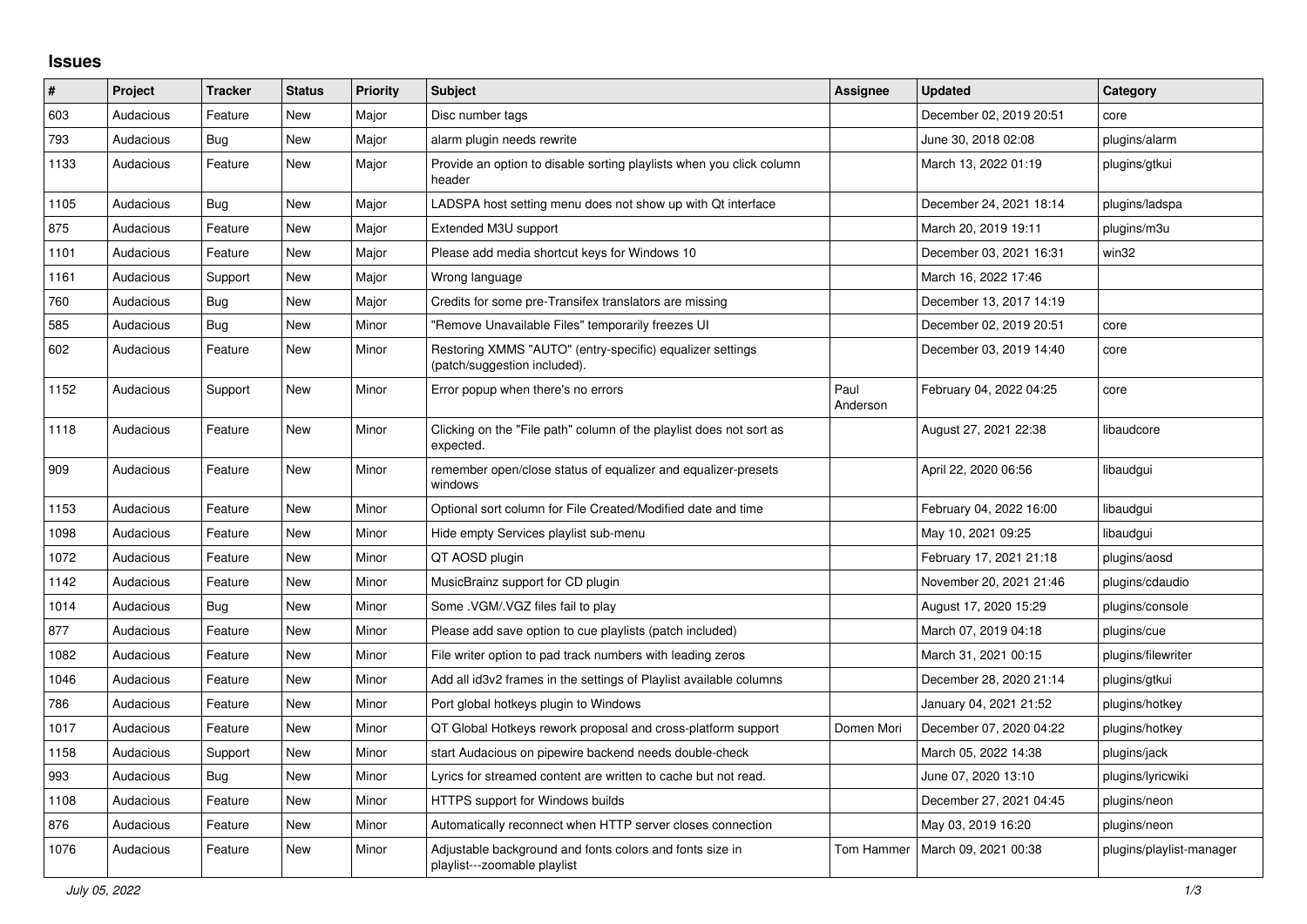## **Issues**

| $\sharp$ | Project   | <b>Tracker</b> | <b>Status</b> | <b>Priority</b> | <b>Subject</b>                                                                            | <b>Assignee</b>  | <b>Updated</b>          | Category                 |
|----------|-----------|----------------|---------------|-----------------|-------------------------------------------------------------------------------------------|------------------|-------------------------|--------------------------|
| 603      | Audacious | Feature        | <b>New</b>    | Major           | Disc number tags                                                                          |                  | December 02, 2019 20:51 | core                     |
| 793      | Audacious | Bug            | <b>New</b>    | Major           | alarm plugin needs rewrite                                                                |                  | June 30, 2018 02:08     | plugins/alarm            |
| 1133     | Audacious | Feature        | <b>New</b>    | Major           | Provide an option to disable sorting playlists when you click column<br>header            |                  | March 13, 2022 01:19    | plugins/gtkui            |
| 1105     | Audacious | Bug            | New           | Major           | LADSPA host setting menu does not show up with Qt interface                               |                  | December 24, 2021 18:14 | plugins/ladspa           |
| 875      | Audacious | Feature        | <b>New</b>    | Major           | Extended M3U support                                                                      |                  | March 20, 2019 19:11    | plugins/m3u              |
| 1101     | Audacious | Feature        | New           | Major           | Please add media shortcut keys for Windows 10                                             |                  | December 03, 2021 16:31 | win32                    |
| 1161     | Audacious | Support        | <b>New</b>    | Major           | Wrong language                                                                            |                  | March 16, 2022 17:46    |                          |
| 760      | Audacious | <b>Bug</b>     | <b>New</b>    | Major           | Credits for some pre-Transifex translators are missing                                    |                  | December 13, 2017 14:19 |                          |
| 585      | Audacious | <b>Bug</b>     | <b>New</b>    | Minor           | "Remove Unavailable Files" temporarily freezes UI                                         |                  | December 02, 2019 20:51 | core                     |
| 602      | Audacious | Feature        | <b>New</b>    | Minor           | Restoring XMMS "AUTO" (entry-specific) equalizer settings<br>(patch/suggestion included). |                  | December 03, 2019 14:40 | core                     |
| 1152     | Audacious | Support        | New           | Minor           | Error popup when there's no errors                                                        | Paul<br>Anderson | February 04, 2022 04:25 | core                     |
| 1118     | Audacious | Feature        | <b>New</b>    | Minor           | Clicking on the "File path" column of the playlist does not sort as<br>expected.          |                  | August 27, 2021 22:38   | libaudcore               |
| 909      | Audacious | Feature        | <b>New</b>    | Minor           | remember open/close status of equalizer and equalizer-presets<br>windows                  |                  | April 22, 2020 06:56    | libaudgui                |
| 1153     | Audacious | Feature        | <b>New</b>    | Minor           | Optional sort column for File Created/Modified date and time                              |                  | February 04, 2022 16:00 | libaudgui                |
| 1098     | Audacious | Feature        | New           | Minor           | Hide empty Services playlist sub-menu                                                     |                  | May 10, 2021 09:25      | libaudgui                |
| 1072     | Audacious | Feature        | <b>New</b>    | Minor           | QT AOSD plugin                                                                            |                  | February 17, 2021 21:18 | plugins/aosd             |
| 1142     | Audacious | Feature        | <b>New</b>    | Minor           | MusicBrainz support for CD plugin                                                         |                  | November 20, 2021 21:46 | plugins/cdaudio          |
| 1014     | Audacious | <b>Bug</b>     | <b>New</b>    | Minor           | Some .VGM/.VGZ files fail to play                                                         |                  | August 17, 2020 15:29   | plugins/console          |
| 877      | Audacious | Feature        | <b>New</b>    | Minor           | Please add save option to cue playlists (patch included)                                  |                  | March 07, 2019 04:18    | plugins/cue              |
| 1082     | Audacious | Feature        | <b>New</b>    | Minor           | File writer option to pad track numbers with leading zeros                                |                  | March 31, 2021 00:15    | plugins/filewriter       |
| 1046     | Audacious | Feature        | <b>New</b>    | Minor           | Add all id3v2 frames in the settings of Playlist available columns                        |                  | December 28, 2020 21:14 | plugins/gtkui            |
| 786      | Audacious | Feature        | New           | Minor           | Port global hotkeys plugin to Windows                                                     |                  | January 04, 2021 21:52  | plugins/hotkey           |
| 1017     | Audacious | Feature        | New           | Minor           | QT Global Hotkeys rework proposal and cross-platform support                              | Domen Mori       | December 07, 2020 04:22 | plugins/hotkey           |
| 1158     | Audacious | Support        | New           | Minor           | start Audacious on pipewire backend needs double-check                                    |                  | March 05, 2022 14:38    | plugins/jack             |
| 993      | Audacious | Bug            | New           | Minor           | Lyrics for streamed content are written to cache but not read.                            |                  | June 07, 2020 13:10     | plugins/lyricwiki        |
| 1108     | Audacious | Feature        | <b>New</b>    | Minor           | <b>HTTPS support for Windows builds</b>                                                   |                  | December 27, 2021 04:45 | plugins/neon             |
| 876      | Audacious | Feature        | <b>New</b>    | Minor           | Automatically reconnect when HTTP server closes connection                                |                  | May 03, 2019 16:20      | plugins/neon             |
| 1076     | Audacious | Feature        | <b>New</b>    | Minor           | Adjustable background and fonts colors and fonts size in<br>playlist---zoomable playlist  | Tom Hammer       | March 09, 2021 00:38    | plugins/playlist-manager |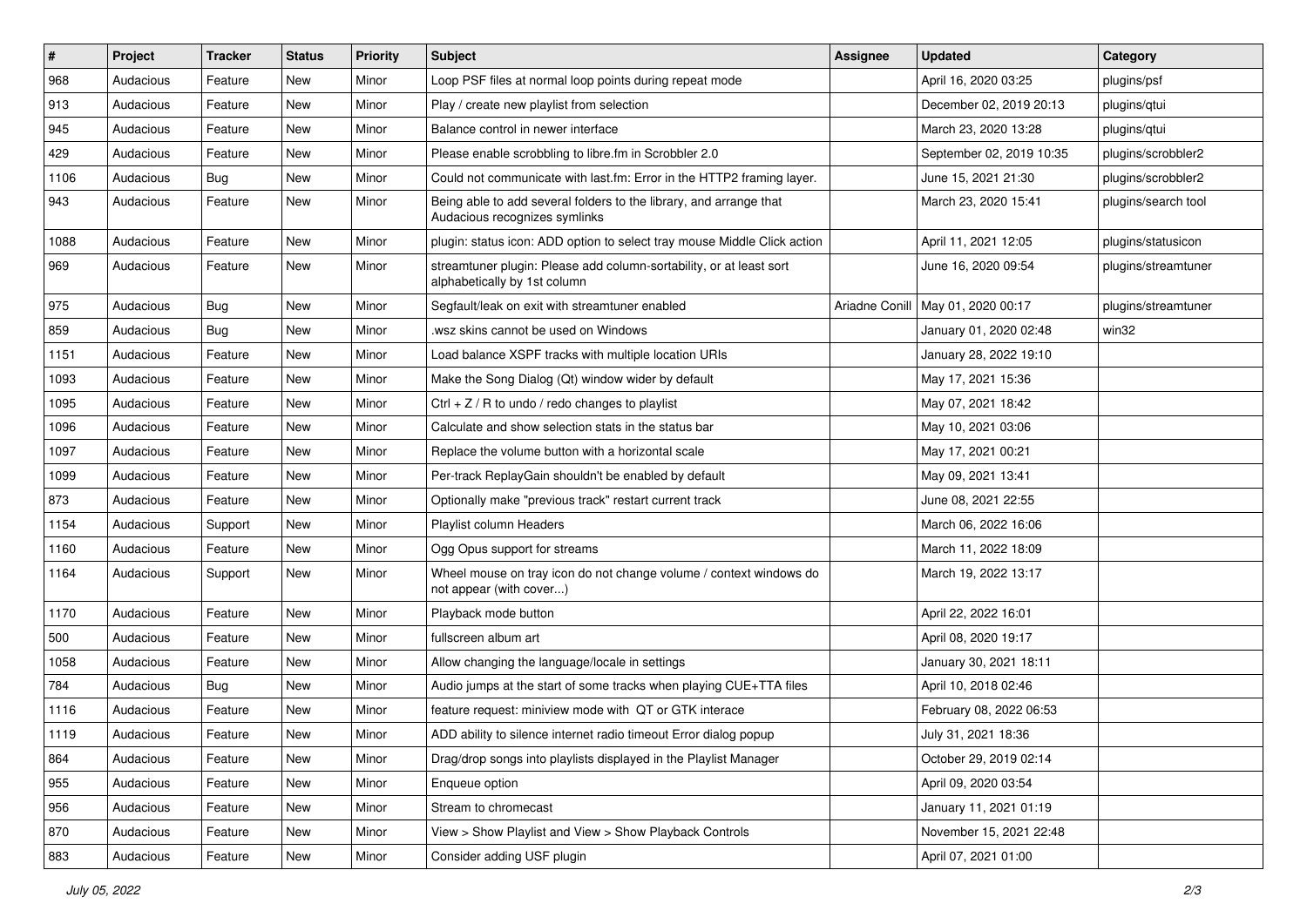| $\vert$ # | Project   | <b>Tracker</b> | <b>Status</b> | <b>Priority</b> | <b>Subject</b>                                                                                      | Assignee       | <b>Updated</b>           | Category            |
|-----------|-----------|----------------|---------------|-----------------|-----------------------------------------------------------------------------------------------------|----------------|--------------------------|---------------------|
| 968       | Audacious | Feature        | <b>New</b>    | Minor           | Loop PSF files at normal loop points during repeat mode                                             |                | April 16, 2020 03:25     | plugins/psf         |
| 913       | Audacious | Feature        | <b>New</b>    | Minor           | Play / create new playlist from selection                                                           |                | December 02, 2019 20:13  | plugins/qtui        |
| 945       | Audacious | Feature        | <b>New</b>    | Minor           | Balance control in newer interface                                                                  |                | March 23, 2020 13:28     | plugins/qtui        |
| 429       | Audacious | Feature        | New           | Minor           | Please enable scrobbling to libre.fm in Scrobbler 2.0                                               |                | September 02, 2019 10:35 | plugins/scrobbler2  |
| 1106      | Audacious | <b>Bug</b>     | <b>New</b>    | Minor           | Could not communicate with last.fm: Error in the HTTP2 framing layer.                               |                | June 15, 2021 21:30      | plugins/scrobbler2  |
| 943       | Audacious | Feature        | New           | Minor           | Being able to add several folders to the library, and arrange that<br>Audacious recognizes symlinks |                | March 23, 2020 15:41     | plugins/search tool |
| 1088      | Audacious | Feature        | <b>New</b>    | Minor           | plugin: status icon: ADD option to select tray mouse Middle Click action                            |                | April 11, 2021 12:05     | plugins/statusicon  |
| 969       | Audacious | Feature        | New           | Minor           | streamtuner plugin: Please add column-sortability, or at least sort<br>alphabetically by 1st column |                | June 16, 2020 09:54      | plugins/streamtuner |
| 975       | Audacious | Bug            | <b>New</b>    | Minor           | Segfault/leak on exit with streamtuner enabled                                                      | Ariadne Conill | May 01, 2020 00:17       | plugins/streamtuner |
| 859       | Audacious | <b>Bug</b>     | New           | Minor           | wsz skins cannot be used on Windows                                                                 |                | January 01, 2020 02:48   | win32               |
| 1151      | Audacious | Feature        | <b>New</b>    | Minor           | Load balance XSPF tracks with multiple location URIs                                                |                | January 28, 2022 19:10   |                     |
| 1093      | Audacious | Feature        | New           | Minor           | Make the Song Dialog (Qt) window wider by default                                                   |                | May 17, 2021 15:36       |                     |
| 1095      | Audacious | Feature        | <b>New</b>    | Minor           | Ctrl + $Z$ / R to undo / redo changes to playlist                                                   |                | May 07, 2021 18:42       |                     |
| 1096      | Audacious | Feature        | <b>New</b>    | Minor           | Calculate and show selection stats in the status bar                                                |                | May 10, 2021 03:06       |                     |
| 1097      | Audacious | Feature        | New           | Minor           | Replace the volume button with a horizontal scale                                                   |                | May 17, 2021 00:21       |                     |
| 1099      | Audacious | Feature        | <b>New</b>    | Minor           | Per-track ReplayGain shouldn't be enabled by default                                                |                | May 09, 2021 13:41       |                     |
| 873       | Audacious | Feature        | New           | Minor           | Optionally make "previous track" restart current track                                              |                | June 08, 2021 22:55      |                     |
| 1154      | Audacious | Support        | <b>New</b>    | Minor           | Playlist column Headers                                                                             |                | March 06, 2022 16:06     |                     |
| 1160      | Audacious | Feature        | <b>New</b>    | Minor           | Ogg Opus support for streams                                                                        |                | March 11, 2022 18:09     |                     |
| 1164      | Audacious | Support        | New           | Minor           | Wheel mouse on tray icon do not change volume / context windows do<br>not appear (with cover)       |                | March 19, 2022 13:17     |                     |
| 1170      | Audacious | Feature        | <b>New</b>    | Minor           | Playback mode button                                                                                |                | April 22, 2022 16:01     |                     |
| 500       | Audacious | Feature        | New           | Minor           | fullscreen album art                                                                                |                | April 08, 2020 19:17     |                     |
| 1058      | Audacious | Feature        | <b>New</b>    | Minor           | Allow changing the language/locale in settings                                                      |                | January 30, 2021 18:11   |                     |
| 784       | Audacious | <b>Bug</b>     | New           | Minor           | Audio jumps at the start of some tracks when playing CUE+TTA files                                  |                | April 10, 2018 02:46     |                     |
| 1116      | Audacious | Feature        | <b>New</b>    | Minor           | feature request: miniview mode with QT or GTK interace                                              |                | February 08, 2022 06:53  |                     |
| 1119      | Audacious | Feature        | New           | Minor           | ADD ability to silence internet radio timeout Error dialog popup                                    |                | July 31, 2021 18:36      |                     |
| 864       | Audacious | Feature        | New           | Minor           | Drag/drop songs into playlists displayed in the Playlist Manager                                    |                | October 29, 2019 02:14   |                     |
| 955       | Audacious | Feature        | New           | Minor           | Enqueue option                                                                                      |                | April 09, 2020 03:54     |                     |
| 956       | Audacious | Feature        | New           | Minor           | Stream to chromecast                                                                                |                | January 11, 2021 01:19   |                     |
| 870       | Audacious | Feature        | New           | Minor           | View > Show Playlist and View > Show Playback Controls                                              |                | November 15, 2021 22:48  |                     |
| 883       | Audacious | Feature        | New           | Minor           | Consider adding USF plugin                                                                          |                | April 07, 2021 01:00     |                     |